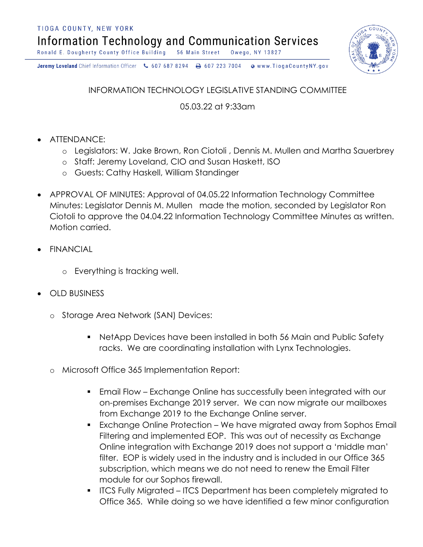TIOGA COUNTY, NEW YORK

Information Technology and Communication Services

Ronald E. Dougherty County Office Building 56 Main Street Owego, NY 13827

Jeremy Loveland Chief Information Officer \607 687 8294 \ + 607 223 7004 o www.TiogaCountyNY.gov

INFORMATION TECHNOLOGY LEGISLATIVE STANDING COMMITTEE

05.03.22 at 9:33am

- ATTENDANCE:
	- o Legislators: W. Jake Brown, Ron Ciotoli , Dennis M. Mullen and Martha Sauerbrey
	- o Staff: Jeremy Loveland, CIO and Susan Haskett, ISO
	- o Guests: Cathy Haskell, William Standinger
- APPROVAL OF MINUTES: Approval of 04.05.22 Information Technology Committee Minutes: Legislator Dennis M. Mullen made the motion, seconded by Legislator Ron Ciotoli to approve the 04.04.22 Information Technology Committee Minutes as written. Motion carried.
- **FINANCIAL** 
	- o Everything is tracking well.
- OLD BUSINESS
	- o Storage Area Network (SAN) Devices:
		- NetApp Devices have been installed in both 56 Main and Public Safety racks. We are coordinating installation with Lynx Technologies.
	- o Microsoft Office 365 Implementation Report:
		- Email Flow Exchange Online has successfully been integrated with our on-premises Exchange 2019 server. We can now migrate our mailboxes from Exchange 2019 to the Exchange Online server.
		- Exchange Online Protection We have migrated away from Sophos Email Filtering and implemented EOP. This was out of necessity as Exchange Online integration with Exchange 2019 does not support a 'middle man' filter. EOP is widely used in the industry and is included in our Office 365 subscription, which means we do not need to renew the Email Filter module for our Sophos firewall.
		- § ITCS Fully Migrated ITCS Department has been completely migrated to Office 365. While doing so we have identified a few minor configuration

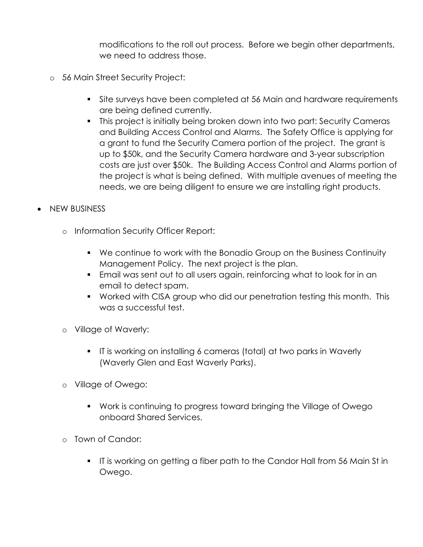modifications to the roll out process. Before we begin other departments, we need to address those.

- o 56 Main Street Security Project:
	- Site surveys have been completed at 56 Main and hardware requirements are being defined currently.
	- § This project is initially being broken down into two part: Security Cameras and Building Access Control and Alarms. The Safety Office is applying for a grant to fund the Security Camera portion of the project. The grant is up to \$50k, and the Security Camera hardware and 3-year subscription costs are just over \$50k. The Building Access Control and Alarms portion of the project is what is being defined. With multiple avenues of meeting the needs, we are being diligent to ensure we are installing right products.
- NEW BUSINESS
	- o Information Security Officer Report:
		- We continue to work with the Bonadio Group on the Business Continuity Management Policy. The next project is the plan.
		- Email was sent out to all users again, reinforcing what to look for in an email to detect spam.
		- Worked with CISA group who did our penetration testing this month. This was a successful test.
	- o Village of Waverly:
		- § IT is working on installing 6 cameras (total) at two parks in Waverly (Waverly Glen and East Waverly Parks).
	- o Village of Owego:
		- § Work is continuing to progress toward bringing the Village of Owego onboard Shared Services.
	- o Town of Candor:
		- § IT is working on getting a fiber path to the Candor Hall from 56 Main St in Owego.